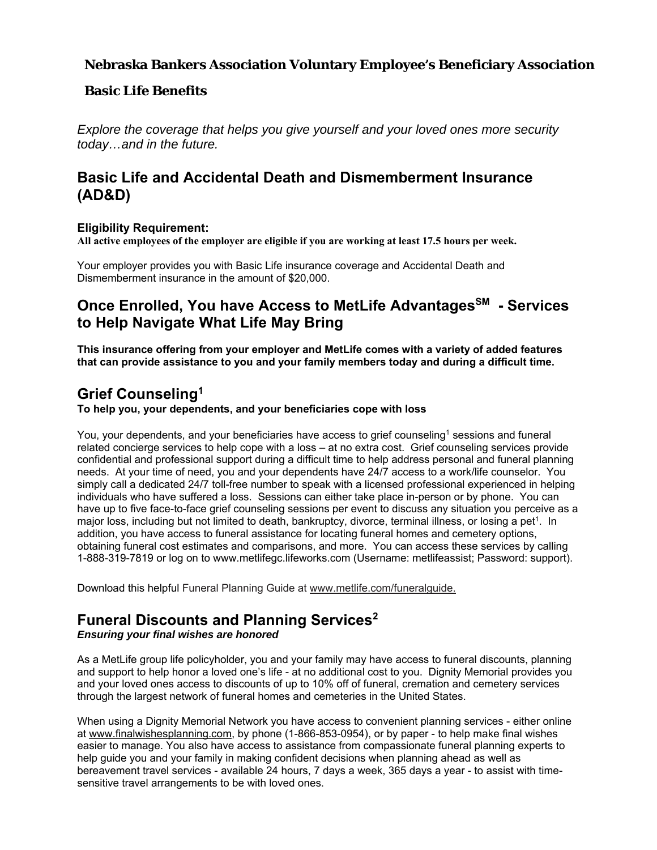#### **Nebraska Bankers Association Voluntary Employee's Beneficiary Association**

#### **Basic Life Benefits**

*Explore the coverage that helps you give yourself and your loved ones more security today…and in the future.* 

## **Basic Life and Accidental Death and Dismemberment Insurance (AD&D)**

#### **Eligibility Requirement:**

**All active employees of the employer are eligible if you are working at least 17.5 hours per week.** 

Your employer provides you with Basic Life insurance coverage and Accidental Death and Dismemberment insurance in the amount of \$20,000.

## **Once Enrolled, You have Access to MetLife Advantages<sup>SM</sup> - Services to Help Navigate What Life May Bring**

**This insurance offering from your employer and MetLife comes with a variety of added features that can provide assistance to you and your family members today and during a difficult time.** 

### **Grief Counseling1**

**To help you, your dependents, and your beneficiaries cope with loss** 

You, your dependents, and your beneficiaries have access to grief counseling<sup>1</sup> sessions and funeral related concierge services to help cope with a loss – at no extra cost. Grief counseling services provide confidential and professional support during a difficult time to help address personal and funeral planning needs. At your time of need, you and your dependents have 24/7 access to a work/life counselor. You simply call a dedicated 24/7 toll-free number to speak with a licensed professional experienced in helping individuals who have suffered a loss. Sessions can either take place in-person or by phone. You can have up to five face-to-face grief counseling sessions per event to discuss any situation you perceive as a major loss, including but not limited to death, bankruptcy, divorce, terminal illness, or losing a pet<sup>1</sup>. In addition, you have access to funeral assistance for locating funeral homes and cemetery options, obtaining funeral cost estimates and comparisons, and more. You can access these services by calling 1-888-319-7819 or log on to www.metlifegc.lifeworks.com (Username: metlifeassist; Password: support).

Download this helpful Funeral Planning Guide at www.metlife.com/funeralguide.

# **Funeral Discounts and Planning Services2**

#### *Ensuring your final wishes are honored*

As a MetLife group life policyholder, you and your family may have access to funeral discounts, planning and support to help honor a loved one's life - at no additional cost to you. Dignity Memorial provides you and your loved ones access to discounts of up to 10% off of funeral, cremation and cemetery services through the largest network of funeral homes and cemeteries in the United States.

When using a Dignity Memorial Network you have access to convenient planning services - either online at www.finalwishesplanning.com, by phone (1-866-853-0954), or by paper - to help make final wishes easier to manage. You also have access to assistance from compassionate funeral planning experts to help guide you and your family in making confident decisions when planning ahead as well as bereavement travel services - available 24 hours, 7 days a week, 365 days a year - to assist with timesensitive travel arrangements to be with loved ones.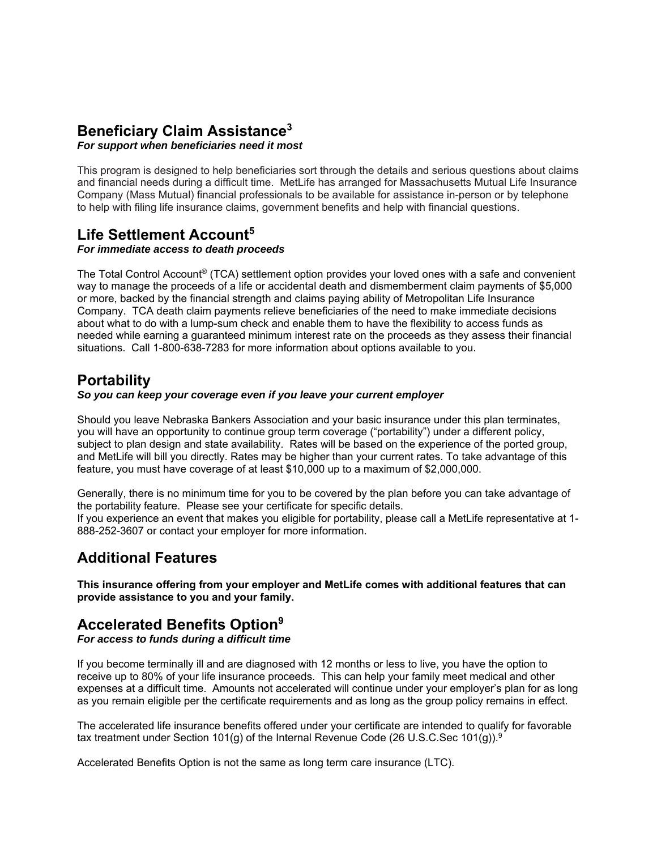### **Beneficiary Claim Assistance3**

#### *For support when beneficiaries need it most*

This program is designed to help beneficiaries sort through the details and serious questions about claims and financial needs during a difficult time. MetLife has arranged for Massachusetts Mutual Life Insurance Company (Mass Mutual) financial professionals to be available for assistance in-person or by telephone to help with filing life insurance claims, government benefits and help with financial questions.

# **Life Settlement Account5**

#### *For immediate access to death proceeds*

The Total Control Account® (TCA) settlement option provides your loved ones with a safe and convenient way to manage the proceeds of a life or accidental death and dismemberment claim payments of \$5,000 or more, backed by the financial strength and claims paying ability of Metropolitan Life Insurance Company. TCA death claim payments relieve beneficiaries of the need to make immediate decisions about what to do with a lump-sum check and enable them to have the flexibility to access funds as needed while earning a guaranteed minimum interest rate on the proceeds as they assess their financial situations. Call 1-800-638-7283 for more information about options available to you.

### **Portability**

#### *So you can keep your coverage even if you leave your current employer*

Should you leave Nebraska Bankers Association and your basic insurance under this plan terminates, you will have an opportunity to continue group term coverage ("portability") under a different policy, subject to plan design and state availability. Rates will be based on the experience of the ported group, and MetLife will bill you directly. Rates may be higher than your current rates. To take advantage of this feature, you must have coverage of at least \$10,000 up to a maximum of \$2,000,000.

Generally, there is no minimum time for you to be covered by the plan before you can take advantage of the portability feature. Please see your certificate for specific details.

If you experience an event that makes you eligible for portability, please call a MetLife representative at 1- 888-252-3607 or contact your employer for more information.

### **Additional Features**

**This insurance offering from your employer and MetLife comes with additional features that can provide assistance to you and your family.** 

### **Accelerated Benefits Option9**

#### *For access to funds during a difficult time*

If you become terminally ill and are diagnosed with 12 months or less to live, you have the option to receive up to 80% of your life insurance proceeds. This can help your family meet medical and other expenses at a difficult time. Amounts not accelerated will continue under your employer's plan for as long as you remain eligible per the certificate requirements and as long as the group policy remains in effect.

The accelerated life insurance benefits offered under your certificate are intended to qualify for favorable tax treatment under Section 101(g) of the Internal Revenue Code (26 U.S.C.Sec 101(g)).<sup>9</sup>

Accelerated Benefits Option is not the same as long term care insurance (LTC).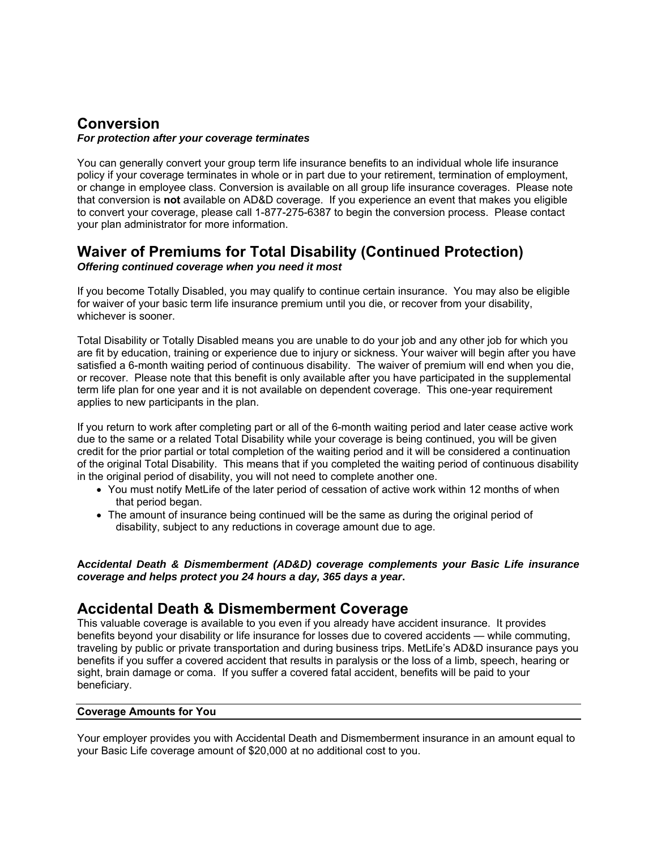#### **Conversion**  *For protection after your coverage terminates*

You can generally convert your group term life insurance benefits to an individual whole life insurance policy if your coverage terminates in whole or in part due to your retirement, termination of employment, or change in employee class. Conversion is available on all group life insurance coverages. Please note that conversion is **not** available on AD&D coverage. If you experience an event that makes you eligible to convert your coverage, please call 1-877-275-6387 to begin the conversion process. Please contact your plan administrator for more information.

# **Waiver of Premiums for Total Disability (Continued Protection)**

*Offering continued coverage when you need it most* 

If you become Totally Disabled, you may qualify to continue certain insurance. You may also be eligible for waiver of your basic term life insurance premium until you die, or recover from your disability, whichever is sooner.

Total Disability or Totally Disabled means you are unable to do your job and any other job for which you are fit by education, training or experience due to injury or sickness. Your waiver will begin after you have satisfied a 6-month waiting period of continuous disability. The waiver of premium will end when you die, or recover. Please note that this benefit is only available after you have participated in the supplemental term life plan for one year and it is not available on dependent coverage. This one-year requirement applies to new participants in the plan.

If you return to work after completing part or all of the 6-month waiting period and later cease active work due to the same or a related Total Disability while your coverage is being continued, you will be given credit for the prior partial or total completion of the waiting period and it will be considered a continuation of the original Total Disability. This means that if you completed the waiting period of continuous disability in the original period of disability, you will not need to complete another one.

- You must notify MetLife of the later period of cessation of active work within 12 months of when that period began.
- The amount of insurance being continued will be the same as during the original period of disability, subject to any reductions in coverage amount due to age.

**A***ccidental Death & Dismemberment (AD&D) coverage complements your Basic Life insurance coverage and helps protect you 24 hours a day, 365 days a year***.**

## **Accidental Death & Dismemberment Coverage**

This valuable coverage is available to you even if you already have accident insurance. It provides benefits beyond your disability or life insurance for losses due to covered accidents — while commuting, traveling by public or private transportation and during business trips. MetLife's AD&D insurance pays you benefits if you suffer a covered accident that results in paralysis or the loss of a limb, speech, hearing or sight, brain damage or coma. If you suffer a covered fatal accident, benefits will be paid to your beneficiary.

#### **Coverage Amounts for You**

Your employer provides you with Accidental Death and Dismemberment insurance in an amount equal to your Basic Life coverage amount of \$20,000 at no additional cost to you.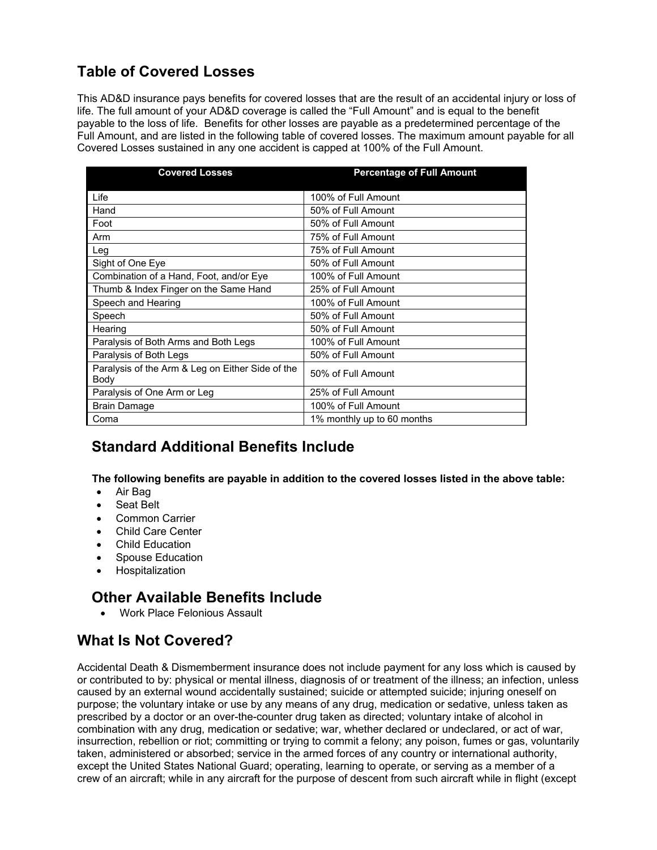# **Table of Covered Losses**

This AD&D insurance pays benefits for covered losses that are the result of an accidental injury or loss of life. The full amount of your AD&D coverage is called the "Full Amount" and is equal to the benefit payable to the loss of life. Benefits for other losses are payable as a predetermined percentage of the Full Amount, and are listed in the following table of covered losses. The maximum amount payable for all Covered Losses sustained in any one accident is capped at 100% of the Full Amount.

| <b>Covered Losses</b>                                    | <b>Percentage of Full Amount</b> |
|----------------------------------------------------------|----------------------------------|
| Life                                                     | 100% of Full Amount              |
| Hand                                                     | 50% of Full Amount               |
| Foot                                                     | 50% of Full Amount               |
| Arm                                                      | 75% of Full Amount               |
| Leg                                                      | 75% of Full Amount               |
| Sight of One Eye                                         | 50% of Full Amount               |
| Combination of a Hand, Foot, and/or Eye                  | 100% of Full Amount              |
| Thumb & Index Finger on the Same Hand                    | 25% of Full Amount               |
| Speech and Hearing                                       | 100% of Full Amount              |
| Speech                                                   | 50% of Full Amount               |
| Hearing                                                  | 50% of Full Amount               |
| Paralysis of Both Arms and Both Legs                     | 100% of Full Amount              |
| Paralysis of Both Legs                                   | 50% of Full Amount               |
| Paralysis of the Arm & Leg on Either Side of the<br>Body | 50% of Full Amount               |
| Paralysis of One Arm or Leg                              | 25% of Full Amount               |
| <b>Brain Damage</b>                                      | 100% of Full Amount              |
| Coma                                                     | 1% monthly up to 60 months       |

## **Standard Additional Benefits Include**

**The following benefits are payable in addition to the covered losses listed in the above table:** 

- Air Bag
- Seat Belt
- Common Carrier
- Child Care Center
- Child Education
- Spouse Education
- **•** Hospitalization

## **Other Available Benefits Include**

Work Place Felonious Assault

## **What Is Not Covered?**

Accidental Death & Dismemberment insurance does not include payment for any loss which is caused by or contributed to by: physical or mental illness, diagnosis of or treatment of the illness; an infection, unless caused by an external wound accidentally sustained; suicide or attempted suicide; injuring oneself on purpose; the voluntary intake or use by any means of any drug, medication or sedative, unless taken as prescribed by a doctor or an over-the-counter drug taken as directed; voluntary intake of alcohol in combination with any drug, medication or sedative; war, whether declared or undeclared, or act of war, insurrection, rebellion or riot; committing or trying to commit a felony; any poison, fumes or gas, voluntarily taken, administered or absorbed; service in the armed forces of any country or international authority, except the United States National Guard; operating, learning to operate, or serving as a member of a crew of an aircraft; while in any aircraft for the purpose of descent from such aircraft while in flight (except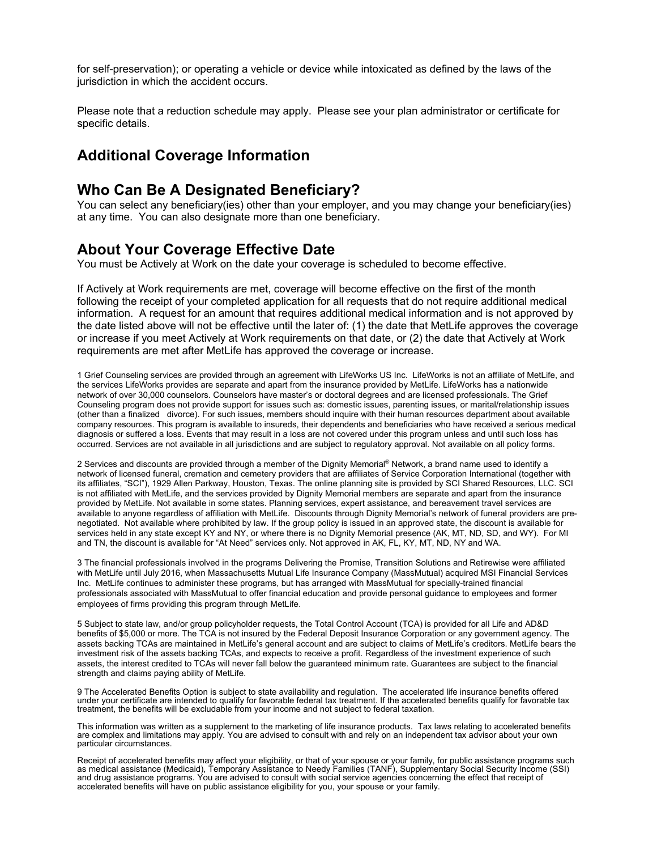for self-preservation); or operating a vehicle or device while intoxicated as defined by the laws of the jurisdiction in which the accident occurs.

Please note that a reduction schedule may apply. Please see your plan administrator or certificate for specific details.

### **Additional Coverage Information**

#### **Who Can Be A Designated Beneficiary?**

You can select any beneficiary(ies) other than your employer, and you may change your beneficiary(ies) at any time. You can also designate more than one beneficiary.

### **About Your Coverage Effective Date**

You must be Actively at Work on the date your coverage is scheduled to become effective.

If Actively at Work requirements are met, coverage will become effective on the first of the month following the receipt of your completed application for all requests that do not require additional medical information. A request for an amount that requires additional medical information and is not approved by the date listed above will not be effective until the later of: (1) the date that MetLife approves the coverage or increase if you meet Actively at Work requirements on that date, or (2) the date that Actively at Work requirements are met after MetLife has approved the coverage or increase.

1 Grief Counseling services are provided through an agreement with LifeWorks US Inc. LifeWorks is not an affiliate of MetLife, and the services LifeWorks provides are separate and apart from the insurance provided by MetLife. LifeWorks has a nationwide network of over 30,000 counselors. Counselors have master's or doctoral degrees and are licensed professionals. The Grief Counseling program does not provide support for issues such as: domestic issues, parenting issues, or marital/relationship issues (other than a finalized divorce). For such issues, members should inquire with their human resources department about available company resources. This program is available to insureds, their dependents and beneficiaries who have received a serious medical diagnosis or suffered a loss. Events that may result in a loss are not covered under this program unless and until such loss has occurred. Services are not available in all jurisdictions and are subject to regulatory approval. Not available on all policy forms.

2 Services and discounts are provided through a member of the Dignity Memorial® Network, a brand name used to identify a network of licensed funeral, cremation and cemetery providers that are affiliates of Service Corporation International (together with its affiliates, "SCI"), 1929 Allen Parkway, Houston, Texas. The online planning site is provided by SCI Shared Resources, LLC. SCI is not affiliated with MetLife, and the services provided by Dignity Memorial members are separate and apart from the insurance provided by MetLife. Not available in some states. Planning services, expert assistance, and bereavement travel services are available to anyone regardless of affiliation with MetLife. Discounts through Dignity Memorial's network of funeral providers are prenegotiated. Not available where prohibited by law. If the group policy is issued in an approved state, the discount is available for services held in any state except KY and NY, or where there is no Dignity Memorial presence (AK, MT, ND, SD, and WY). For MI and TN, the discount is available for "At Need" services only. Not approved in AK, FL, KY, MT, ND, NY and WA.

3 The financial professionals involved in the programs Delivering the Promise, Transition Solutions and Retirewise were affiliated with MetLife until July 2016, when Massachusetts Mutual Life Insurance Company (MassMutual) acquired MSI Financial Services Inc. MetLife continues to administer these programs, but has arranged with MassMutual for specially-trained financial professionals associated with MassMutual to offer financial education and provide personal guidance to employees and former employees of firms providing this program through MetLife.

5 Subject to state law, and/or group policyholder requests, the Total Control Account (TCA) is provided for all Life and AD&D benefits of \$5,000 or more. The TCA is not insured by the Federal Deposit Insurance Corporation or any government agency. The assets backing TCAs are maintained in MetLife's general account and are subject to claims of MetLife's creditors. MetLife bears the investment risk of the assets backing TCAs, and expects to receive a profit. Regardless of the investment experience of such assets, the interest credited to TCAs will never fall below the guaranteed minimum rate. Guarantees are subject to the financial strength and claims paying ability of MetLife.

9 The Accelerated Benefits Option is subject to state availability and regulation. The accelerated life insurance benefits offered under your certificate are intended to qualify for favorable federal tax treatment. If the accelerated benefits qualify for favorable tax treatment, the benefits will be excludable from your income and not subject to federal taxation.

This information was written as a supplement to the marketing of life insurance products. Tax laws relating to accelerated benefits are complex and limitations may apply. You are advised to consult with and rely on an independent tax advisor about your own particular circumstances.

Receipt of accelerated benefits may affect your eligibility, or that of your spouse or your family, for public assistance programs such<br>as medical assistance (Medicaid), Temporary Assistance to Needy Families (TANF), Suppl and drug assistance programs. You are advised to consult with social service agencies concerning the effect that receipt of accelerated benefits will have on public assistance eligibility for you, your spouse or your family.